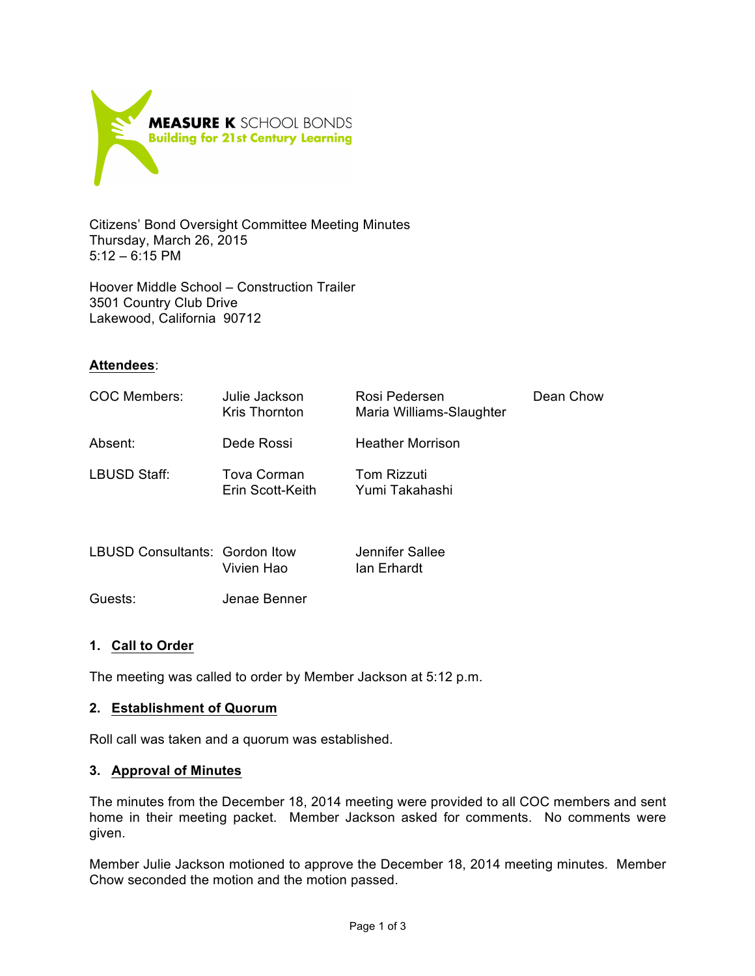

Citizens' Bond Oversight Committee Meeting Minutes Thursday, March 26, 2015  $5:12 - 6:15$  PM

Hoover Middle School – Construction Trailer 3501 Country Club Drive Lakewood, California 90712

# **Attendees**:

| COC Members:                   | Julie Jackson<br>Kris Thornton  | Rosi Pedersen<br>Maria Williams-Slaughter | Dean Chow |
|--------------------------------|---------------------------------|-------------------------------------------|-----------|
| Absent:                        | Dede Rossi                      | <b>Heather Morrison</b>                   |           |
| LBUSD Staff:                   | Tova Corman<br>Erin Scott-Keith | Tom Rizzuti<br>Yumi Takahashi             |           |
| LBUSD Consultants: Gordon Itow | Vivien Hao                      | Jennifer Sallee<br>Ian Erhardt            |           |

Guests: Jenae Benner

#### **1. Call to Order**

The meeting was called to order by Member Jackson at 5:12 p.m.

#### **2. Establishment of Quorum**

Roll call was taken and a quorum was established.

#### **3. Approval of Minutes**

The minutes from the December 18, 2014 meeting were provided to all COC members and sent home in their meeting packet. Member Jackson asked for comments. No comments were given.

Member Julie Jackson motioned to approve the December 18, 2014 meeting minutes. Member Chow seconded the motion and the motion passed.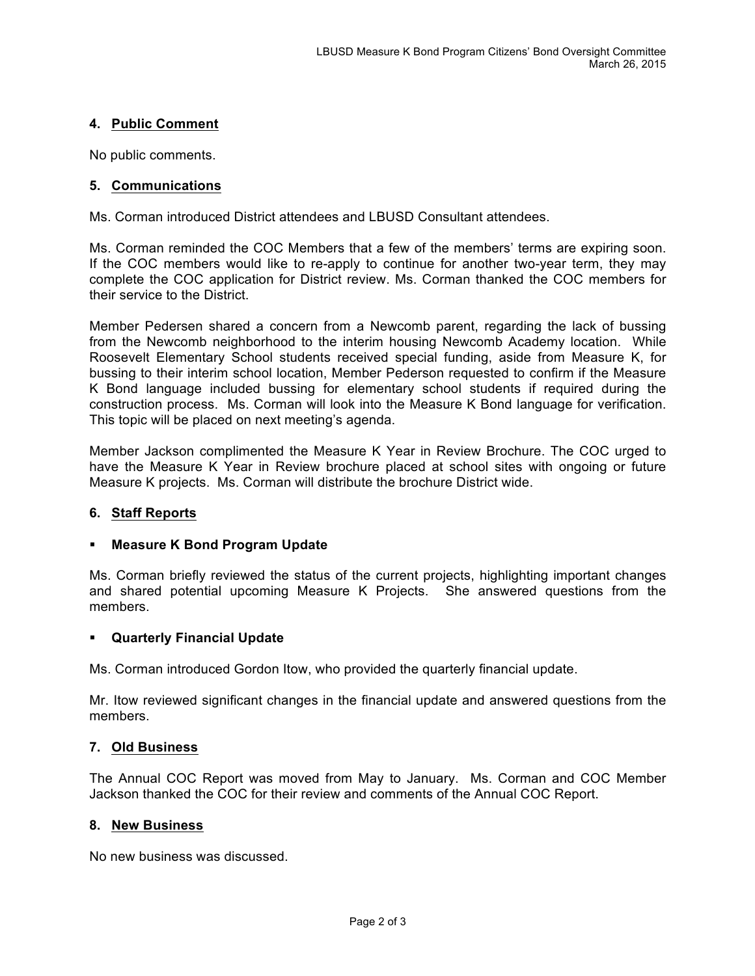# **4. Public Comment**

No public comments.

### **5. Communications**

Ms. Corman introduced District attendees and LBUSD Consultant attendees.

Ms. Corman reminded the COC Members that a few of the members' terms are expiring soon. If the COC members would like to re-apply to continue for another two-year term, they may complete the COC application for District review. Ms. Corman thanked the COC members for their service to the District.

Member Pedersen shared a concern from a Newcomb parent, regarding the lack of bussing from the Newcomb neighborhood to the interim housing Newcomb Academy location. While Roosevelt Elementary School students received special funding, aside from Measure K, for bussing to their interim school location, Member Pederson requested to confirm if the Measure K Bond language included bussing for elementary school students if required during the construction process. Ms. Corman will look into the Measure K Bond language for verification. This topic will be placed on next meeting's agenda.

Member Jackson complimented the Measure K Year in Review Brochure. The COC urged to have the Measure K Year in Review brochure placed at school sites with ongoing or future Measure K projects. Ms. Corman will distribute the brochure District wide.

#### **6. Staff Reports**

#### ! **Measure K Bond Program Update**

Ms. Corman briefly reviewed the status of the current projects, highlighting important changes and shared potential upcoming Measure K Projects. She answered questions from the members.

#### ! **Quarterly Financial Update**

Ms. Corman introduced Gordon Itow, who provided the quarterly financial update.

Mr. Itow reviewed significant changes in the financial update and answered questions from the members.

#### **7. Old Business**

The Annual COC Report was moved from May to January. Ms. Corman and COC Member Jackson thanked the COC for their review and comments of the Annual COC Report.

#### **8. New Business**

No new business was discussed.